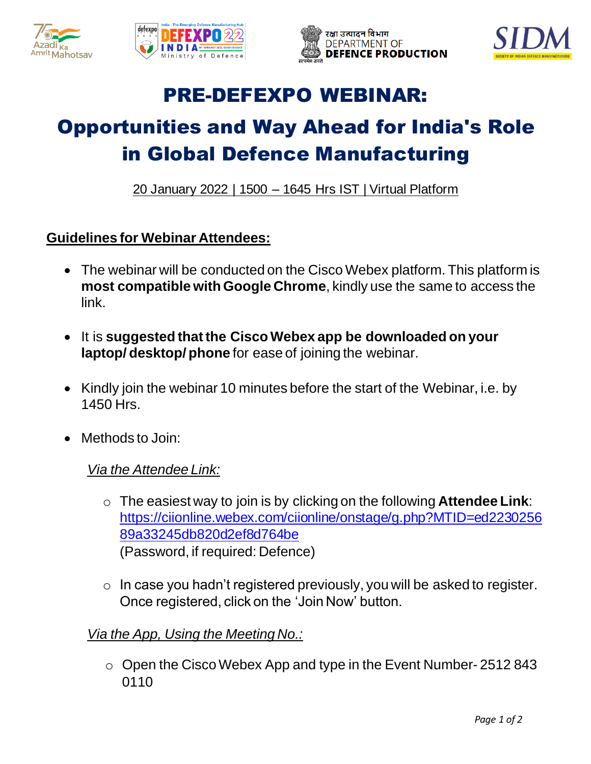







## PRE-DEFEXPO WEBINAR:

# Opportunities and Way Ahead for India's Role in Global Defence Manufacturing

20 January 2022 | 1500 – 1645 Hrs IST | Virtual Platform

### **Guidelines for Webinar Attendees:**

- The webinar will be conducted on the Cisco Webex platform. This platform is **most compatible with Google Chrome**, kindly use the same to access the link.
- It is **suggested that the Cisco Webex app be downloaded on your laptop/ desktop/ phone** for ease of joining the webinar.
- Kindly join the webinar 10 minutes before the start of the Webinar, i.e. by 1450 Hrs.
- Methods to Join:

#### *Via the Attendee Link:*

- o The easiest way to join is by clicking on the following **Attendee Link**: [https://ciionline.webex.com/ciionline/onstage/g.php?MTID=ed2230256](https://ciionline.webex.com/ciionline/onstage/g.php?MTID=ed223025689a33245db820d2ef8d764be) [89a33245db820d2ef8d764be](https://ciionline.webex.com/ciionline/onstage/g.php?MTID=ed223025689a33245db820d2ef8d764be) (Password, if required: Defence)
- o In case you hadn't registered previously, you will be asked to register. Once registered, click on the 'Join Now' button.

### *Via the App, Using the Meeting No.:*

o Open the Cisco Webex App and type in the Event Number- 2512 843 0110